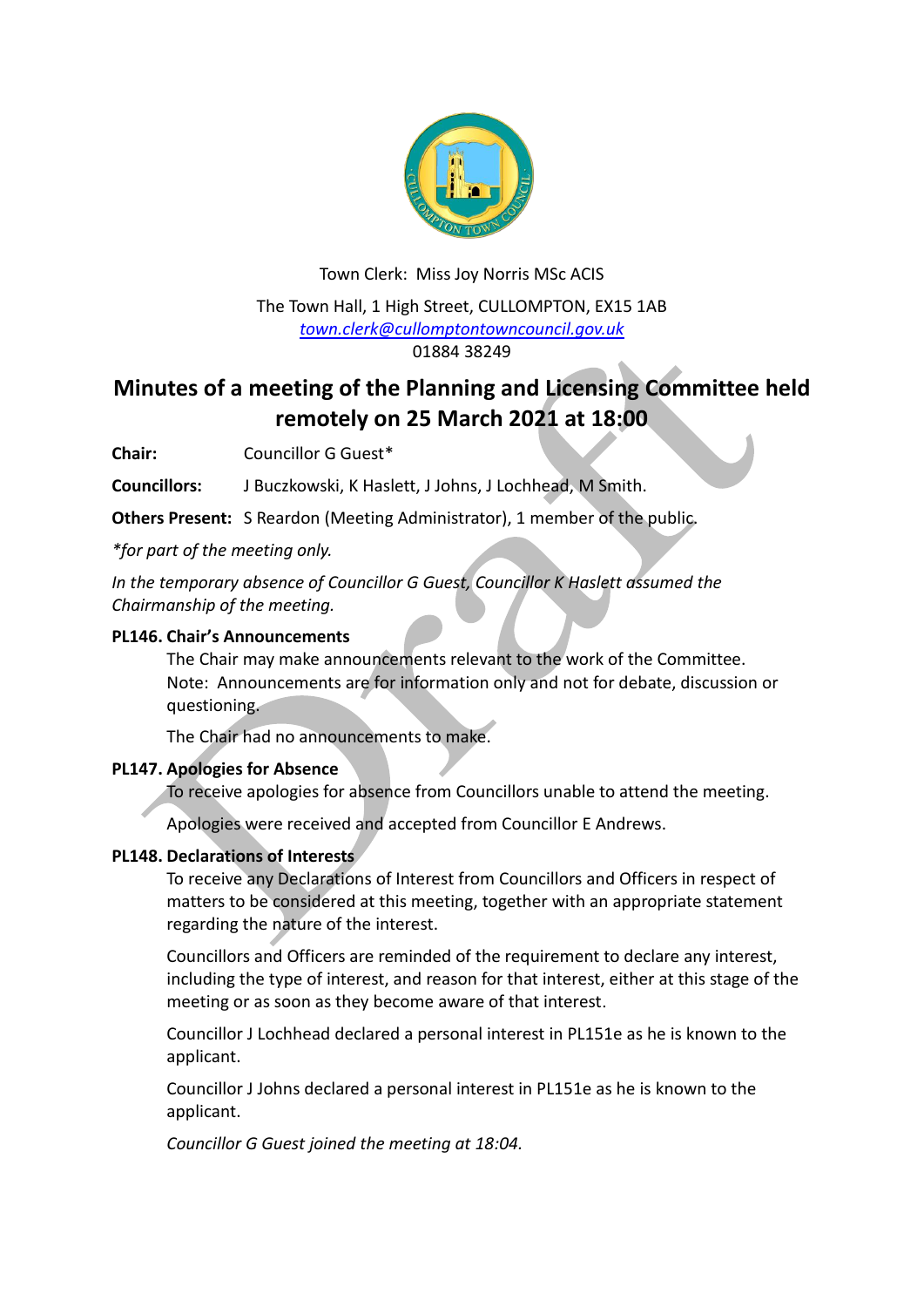

# Town Clerk: Miss Joy Norris MSc ACIS The Town Hall, 1 High Street, CULLOMPTON, EX15 1AB *[town.clerk@cullomptontowncouncil.gov.uk](mailto:town.clerk@cullomptontowncouncil.gov.uk)* 01884 38249

# **Minutes of a meeting of the Planning and Licensing Committee held remotely on 25 March 2021 at 18:00**

**Chair:** Councillor G Guest\*

**Councillors:** J Buczkowski, K Haslett, J Johns, J Lochhead, M Smith.

**Others Present:** S Reardon (Meeting Administrator), 1 member of the public.

*\*for part of the meeting only.*

*In the temporary absence of Councillor G Guest, Councillor K Haslett assumed the Chairmanship of the meeting.*

# **PL146. Chair's Announcements**

The Chair may make announcements relevant to the work of the Committee. Note: Announcements are for information only and not for debate, discussion or questioning.

The Chair had no announcements to make.

# **PL147. Apologies for Absence**

To receive apologies for absence from Councillors unable to attend the meeting.

Apologies were received and accepted from Councillor E Andrews.

# **PL148. Declarations of Interests**

To receive any Declarations of Interest from Councillors and Officers in respect of matters to be considered at this meeting, together with an appropriate statement regarding the nature of the interest.

Councillors and Officers are reminded of the requirement to declare any interest, including the type of interest, and reason for that interest, either at this stage of the meeting or as soon as they become aware of that interest.

Councillor J Lochhead declared a personal interest in PL151e as he is known to the applicant.

Councillor J Johns declared a personal interest in PL151e as he is known to the applicant.

*Councillor G Guest joined the meeting at 18:04.*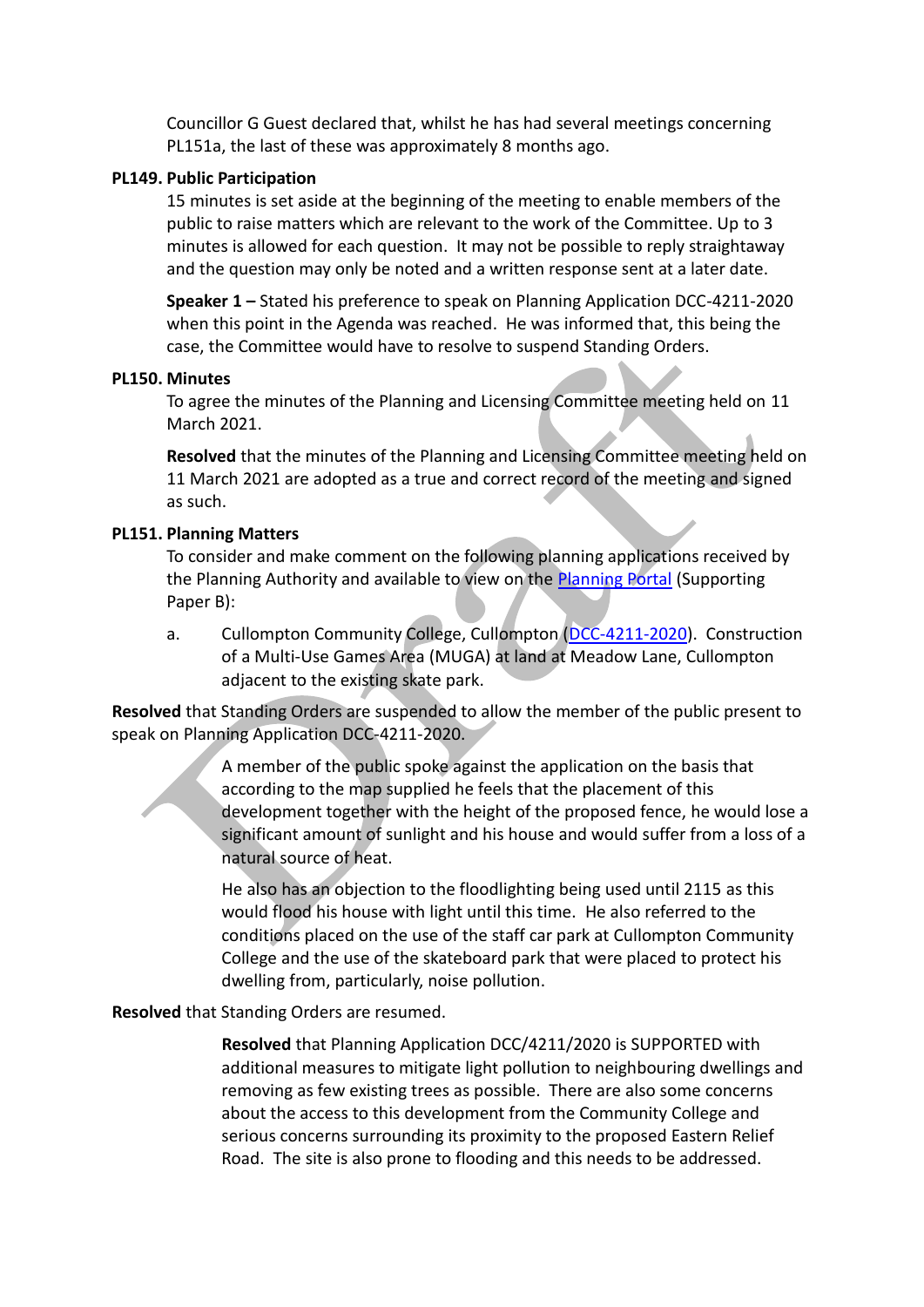Councillor G Guest declared that, whilst he has had several meetings concerning PL151a, the last of these was approximately 8 months ago.

#### **PL149. Public Participation**

15 minutes is set aside at the beginning of the meeting to enable members of the public to raise matters which are relevant to the work of the Committee. Up to 3 minutes is allowed for each question. It may not be possible to reply straightaway and the question may only be noted and a written response sent at a later date.

**Speaker 1 –** Stated his preference to speak on Planning Application DCC-4211-2020 when this point in the Agenda was reached. He was informed that, this being the case, the Committee would have to resolve to suspend Standing Orders.

#### **PL150. Minutes**

To agree the minutes of the Planning and Licensing Committee meeting held on 11 March 2021.

**Resolved** that the minutes of the Planning and Licensing Committee meeting held on 11 March 2021 are adopted as a true and correct record of the meeting and signed as such.

#### **PL151. Planning Matters**

To consider and make comment on the following planning applications received by the Planning Authority and available to view on the [Planning Portal](https://planning.middevon.gov.uk/online-applications/) (Supporting Paper B):

a. Cullompton Community College, Cullompton [\(DCC-4211-2020\)](https://planning.devon.gov.uk/PlanDisp.aspx?AppNo=DCC/4211/2020). Construction of a Multi-Use Games Area (MUGA) at land at Meadow Lane, Cullompton adjacent to the existing skate park.

**Resolved** that Standing Orders are suspended to allow the member of the public present to speak on Planning Application DCC-4211-2020.

> A member of the public spoke against the application on the basis that according to the map supplied he feels that the placement of this development together with the height of the proposed fence, he would lose a significant amount of sunlight and his house and would suffer from a loss of a natural source of heat.

He also has an objection to the floodlighting being used until 2115 as this would flood his house with light until this time. He also referred to the conditions placed on the use of the staff car park at Cullompton Community College and the use of the skateboard park that were placed to protect his dwelling from, particularly, noise pollution.

**Resolved** that Standing Orders are resumed.

**Resolved** that Planning Application DCC/4211/2020 is SUPPORTED with additional measures to mitigate light pollution to neighbouring dwellings and removing as few existing trees as possible. There are also some concerns about the access to this development from the Community College and serious concerns surrounding its proximity to the proposed Eastern Relief Road. The site is also prone to flooding and this needs to be addressed.